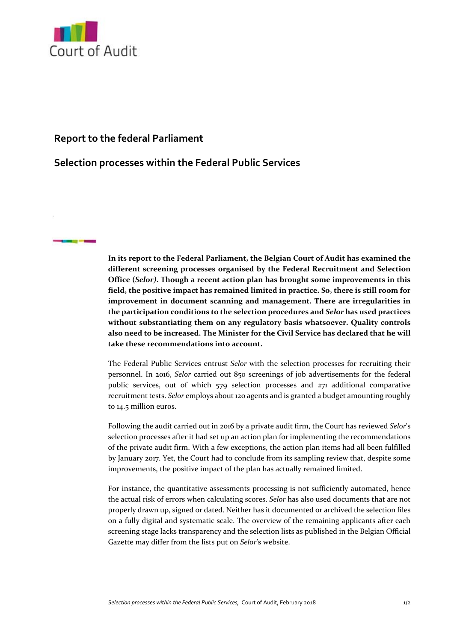

**STATISTICS** 

## **Report to the federal Parliament**

## **Selection processes within the Federal Public Services**

**In its report to the Federal Parliament, the Belgian Court of Audit has examined the different screening processes organised by the Federal Recruitment and Selection Office (***Selor)***. Though a recent action plan has brought some improvements in this field, the positive impact has remained limited in practice. So, there is still room for improvement in document scanning and management. There are irregularities in the participation conditions to the selection procedures and** *Selor* **has used practices without substantiating them on any regulatory basis whatsoever. Quality controls also need to be increased. The Minister for the Civil Service has declared that he will take these recommendations into account.**

The Federal Public Services entrust *Selor* with the selection processes for recruiting their personnel. In 2016, *Selor* carried out 850 screenings of job advertisements for the federal public services, out of which 579 selection processes and 271 additional comparative recruitment tests. *Selor* employs about 120 agents and is granted a budget amounting roughly to 14.5 million euros.

Following the audit carried out in 2016 by a private audit firm, the Court has reviewed *Selor*'s selection processes after it had set up an action plan for implementing the recommendations of the private audit firm. With a few exceptions, the action plan items had all been fulfilled by January 2017. Yet, the Court had to conclude from its sampling review that, despite some improvements, the positive impact of the plan has actually remained limited.

For instance, the quantitative assessments processing is not sufficiently automated, hence the actual risk of errors when calculating scores. *Selor* has also used documents that are not properly drawn up, signed or dated. Neither has it documented or archived the selection files on a fully digital and systematic scale. The overview of the remaining applicants after each screening stage lacks transparency and the selection lists as published in the Belgian Official Gazette may differ from the lists put on *Selor*'s website.